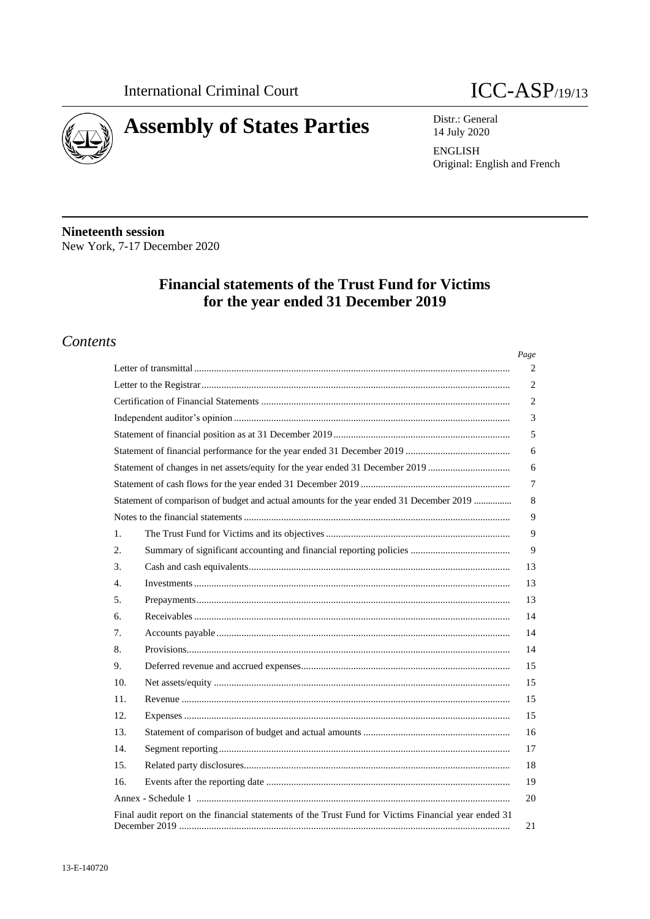



14 July 2020

ENGLISH Original: English and French

**Nineteenth session** New York, 7-17 December 2020

# **Financial statements of the Trust Fund for Victims for the year ended 31 December 2019**

# *Contents*

|                                                                                                      | Page |
|------------------------------------------------------------------------------------------------------|------|
|                                                                                                      | 2    |
|                                                                                                      | 2    |
|                                                                                                      | 2    |
|                                                                                                      | 3    |
|                                                                                                      | 5    |
|                                                                                                      | 6    |
| Statement of changes in net assets/equity for the year ended 31 December 2019                        | 6    |
|                                                                                                      | 7    |
| Statement of comparison of budget and actual amounts for the year ended 31 December 2019             | 8    |
|                                                                                                      | 9    |
| 1.                                                                                                   | 9    |
| 2.                                                                                                   | 9    |
| 3.                                                                                                   | 13   |
| 4.                                                                                                   | 13   |
| 5.                                                                                                   | 13   |
| б.                                                                                                   | 14   |
| 7.                                                                                                   | 14   |
| 8.                                                                                                   | 14   |
| 9.                                                                                                   | 15   |
| 10.                                                                                                  | 15   |
| 11.                                                                                                  | 15   |
| 12.                                                                                                  | 15   |
| 13.                                                                                                  | 16   |
| 14.                                                                                                  | 17   |
| 15.                                                                                                  | 18   |
| 16.                                                                                                  | 19   |
|                                                                                                      | 20   |
| Final audit report on the financial statements of the Trust Fund for Victims Financial year ended 31 | 21   |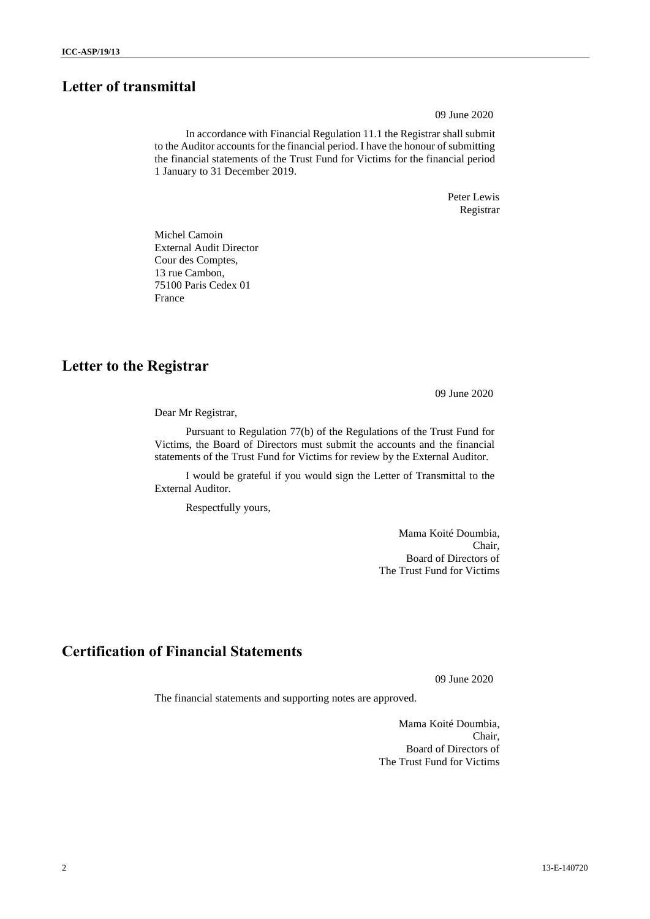# **Letter of transmittal**

09 June 2020

In accordance with Financial Regulation 11.1 the Registrar shall submit to the Auditor accounts for the financial period. I have the honour of submitting the financial statements of the Trust Fund for Victims for the financial period 1 January to 31 December 2019.

> Peter Lewis Registrar

Michel Camoin External Audit Director Cour des Comptes, 13 rue Cambon, 75100 Paris Cedex 01 France

## **Letter to the Registrar**

09 June 2020

Dear Mr Registrar,

Pursuant to Regulation 77(b) of the Regulations of the Trust Fund for Victims, the Board of Directors must submit the accounts and the financial statements of the Trust Fund for Victims for review by the External Auditor.

I would be grateful if you would sign the Letter of Transmittal to the External Auditor.

Respectfully yours,

Mama Koité Doumbia, Chair, Board of Directors of The Trust Fund for Victims

# **Certification of Financial Statements**

09 June 2020

The financial statements and supporting notes are approved.

Mama Koité Doumbia, Chair, Board of Directors of The Trust Fund for Victims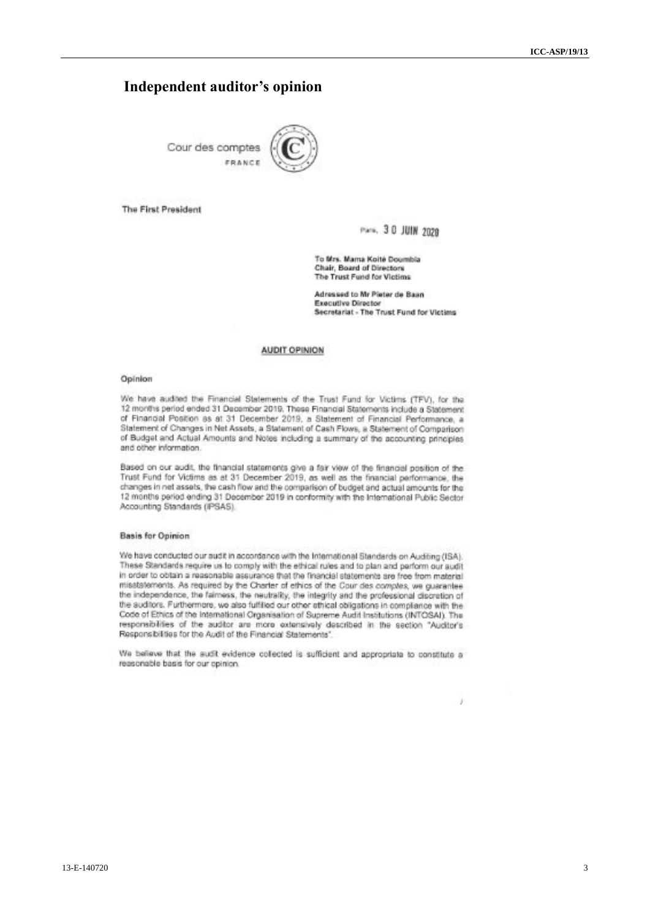## **Independent auditor's opinion**

Cour des comptes FRANCI



The First President

Park, 30 JUIN 2020

To Mrs. Mama Kolté Doumbia Chair, Board of Directors The Trust Fund for Victims

Adressed to Mr Pieter de Baan Executive Director Secretariat - The Trust Fund for Victims

y

#### **AUDIT OPINION**

#### Opinion

We have audited the Financial Statements of the Trust Fund for Victims (TFV), for the 12 months period ended 31 December 2019, These Financial Statements include a Statement of Financial Position as at 31 December 2019, a Statement of Financial Performance, a Statement of Changes in Net Assets, a Statement of Cash Flows, a Statement of Comparison of Budget and Actual Amounts and Notes including a summary of the accounting principles and other information.

Based on our audit, the financial statements give a fair view of the financial position of the<br>Trust Fund for Victims as at 31 December 2019, as well as the financial performance, the changes in net assets, the cash flow and the comparison of budget and actual amounts for the 12 months period ending 31 December 2019 in conformity with the International Public Sector Accounting Standards (iPSAS).

#### **Basis for Opinion**

We have conducted our audit in accordance with the International Standards on Auditing (ISA). These Standards require us to comply with the ethical rules and to plan and parform our audit in order to obtain a reasonable assurance that the financial statements are free from material misstatements. As required by the Charter of ethics of the Cour des comptes, we guarantee the independence, the fairness, the neutrality, the integrity and the professional discretion of the auditors. Furthermore, we also fulfilled our other ethical obligations in compliance with the Code of Ethics of the International Organisation of Supreme Audit Institutions (INTOSAI). The responsibilities of the auditor are more extensively described in the section "Auditor's Responsibilities for the Audit of the Financial Statements'

We believe that the sudit evidence collected is sufficient and appropriate to constitute a reasonable basis for our opinion.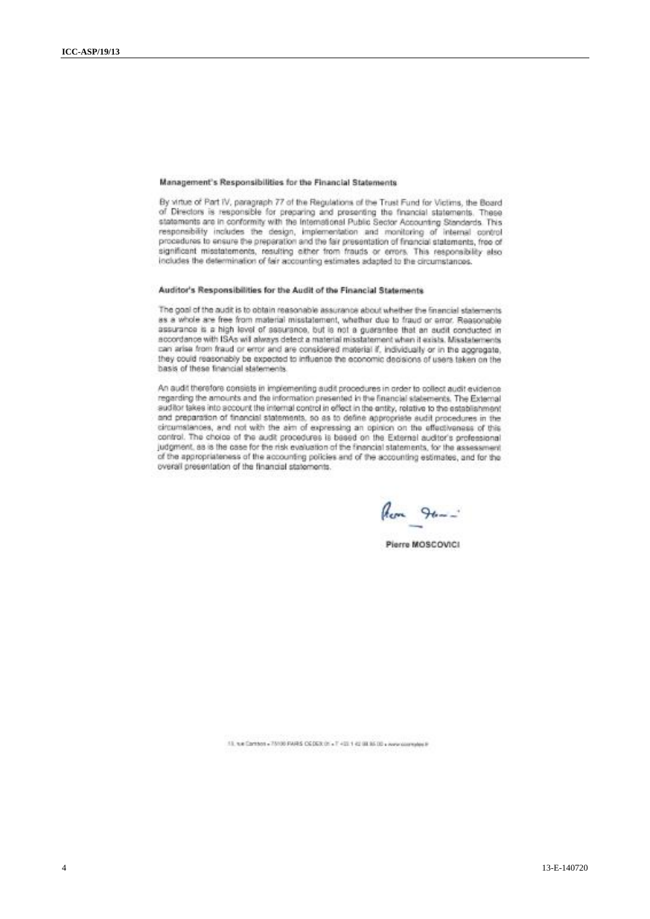#### Management's Responsibilities for the Financial Statements

By virtue of Part IV, paragraph 77 of the Regulations of the Trust Fund for Victims, the Board of Directors is responsible for preparing and presenting the financial statements. These statements are in conformity with the International Public Sector Accounting Standards. This responsibility includes the design, implementation and monitoring of internal control procedures to ensure the preparation and the fair presentation of financial statements, free of significant misstatements, resulting either from frauds or errors. This responsibility also includes the determination of fair accounting estimates adapted to the circumstances.

#### Auditor's Responsibilities for the Audit of the Financial Statements

The goal of the audit is to obtain reasonable assurance about whether the financial statements as a whole are free from material misstatement, whether due to fraud or error. Reasonable assurance is a high level of assurance, but is not a guarantee that an audit conducted in accordance with ISAs will always detect a material misstatement when it exists. Misstatements can arise from fraud or error and are considered material if, individually or in the approgate, they could reasonably be expected to influence the economic decisions of users taken on the basis of these financial statements.

An audit therefore consists in implementing audit procedures in order to collect audit evidence regarding the amounts and the information presented in the financial statements. The External auditor takes into account the internal control in effect in the entity, relative to the establishment and preparation of financial statements, so as to define appropriate audit procedures in the circumstances, and not with the aim of expressing an opinion on the effectiveness of this control. The choice of the audit procedures is based on the External auditor's professional judgment, as is the case for the risk evaluation of the financial statements, for the assessment of the appropriateness of the accounting policies and of the accounting estimates, and for the overall presentation of the financial statements.

Rom 96-

Pierre MOSCOVICI

13. It is Common = 75100 PARIS CGDEX (H = T +13 1 42 SE 35 DS = Awardstreams)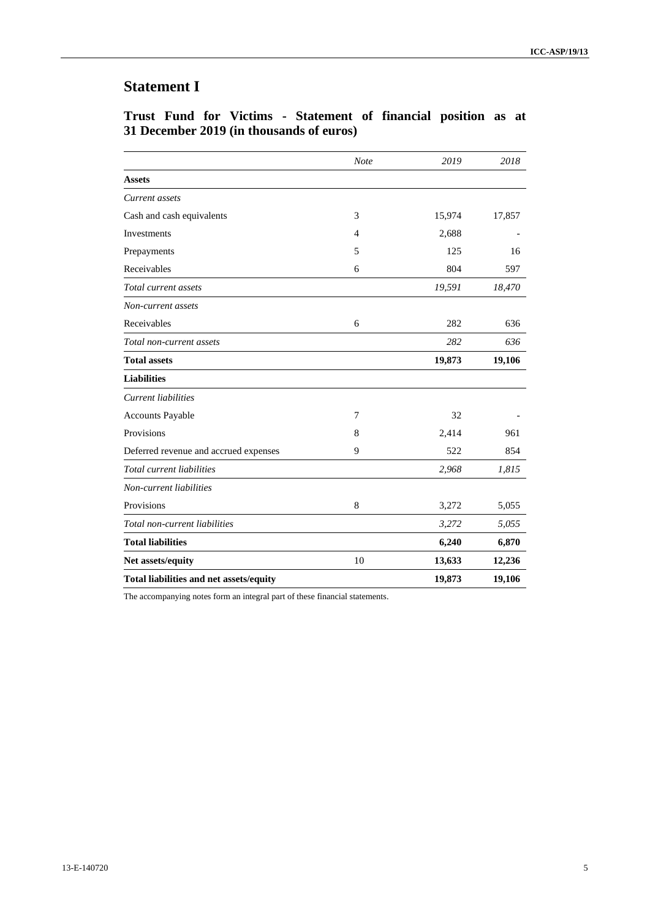# **Statement I**

|  |  | Trust Fund for Victims - Statement of financial position as at |  |  |  |
|--|--|----------------------------------------------------------------|--|--|--|
|  |  | 31 December 2019 (in thousands of euros)                       |  |  |  |

|                                         | <b>Note</b> | 2019   | 2018   |
|-----------------------------------------|-------------|--------|--------|
| <b>Assets</b>                           |             |        |        |
| Current assets                          |             |        |        |
| Cash and cash equivalents               | 3           | 15,974 | 17,857 |
| Investments                             | 4           | 2,688  |        |
| Prepayments                             | 5           | 125    | 16     |
| Receivables                             | 6           | 804    | 597    |
| Total current assets                    |             | 19,591 | 18,470 |
| Non-current assets                      |             |        |        |
| Receivables                             | 6           | 282    | 636    |
| Total non-current assets                |             | 282    | 636    |
| <b>Total assets</b>                     |             | 19,873 | 19,106 |
| <b>Liabilities</b>                      |             |        |        |
| Current liabilities                     |             |        |        |
| Accounts Payable                        | 7           | 32     |        |
| Provisions                              | 8           | 2,414  | 961    |
| Deferred revenue and accrued expenses   | 9           | 522    | 854    |
| Total current liabilities               |             | 2,968  | 1,815  |
| Non-current liabilities                 |             |        |        |
| Provisions                              | 8           | 3,272  | 5,055  |
| Total non-current liabilities           |             | 3,272  | 5,055  |
| <b>Total liabilities</b>                |             | 6,240  | 6,870  |
| Net assets/equity                       | 10          | 13,633 | 12,236 |
| Total liabilities and net assets/equity |             | 19,873 | 19,106 |

The accompanying notes form an integral part of these financial statements.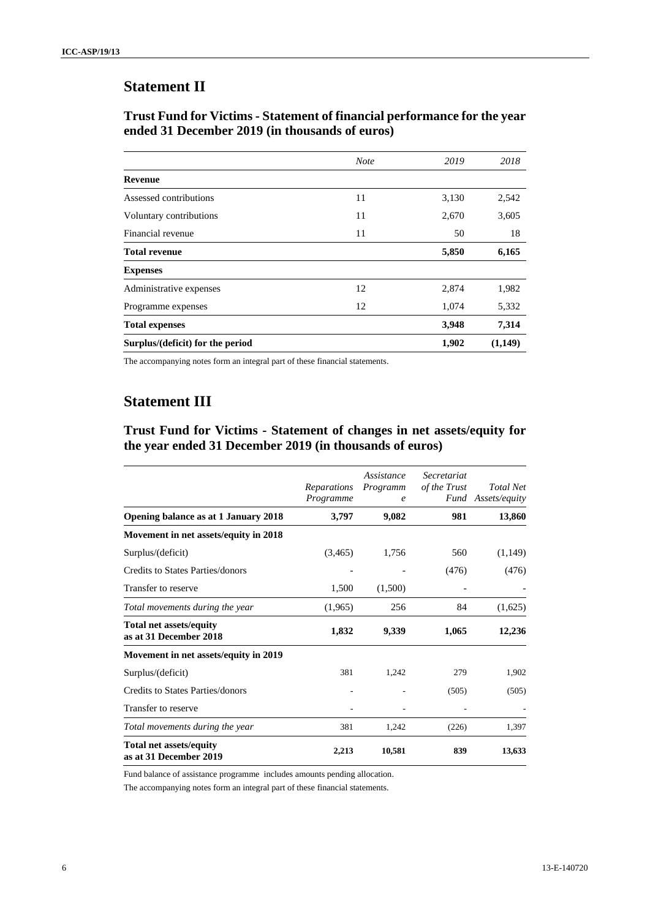# **Statement II**

## **Trust Fund for Victims - Statement of financial performance for the year ended 31 December 2019 (in thousands of euros)**

|                                  | <b>Note</b> | 2019  | 2018    |
|----------------------------------|-------------|-------|---------|
| <b>Revenue</b>                   |             |       |         |
| Assessed contributions           | 11          | 3,130 | 2,542   |
| Voluntary contributions          | 11          | 2,670 | 3,605   |
| Financial revenue                | 11          | 50    | 18      |
| <b>Total revenue</b>             |             | 5,850 | 6,165   |
| <b>Expenses</b>                  |             |       |         |
| Administrative expenses          | 12          | 2,874 | 1,982   |
| Programme expenses               | 12          | 1,074 | 5,332   |
| <b>Total expenses</b>            |             | 3,948 | 7,314   |
| Surplus/(deficit) for the period |             | 1,902 | (1,149) |

The accompanying notes form an integral part of these financial statements.

# **Statement III**

**Trust Fund for Victims - Statement of changes in net assets/equity for the year ended 31 December 2019 (in thousands of euros)**

|                                                          | Reparations<br>Programme | <i>Assistance</i><br>Programm<br>$\epsilon$ | Secretariat<br>of the Trust | Total Net<br>Fund Assets/equity |
|----------------------------------------------------------|--------------------------|---------------------------------------------|-----------------------------|---------------------------------|
| Opening balance as at 1 January 2018                     | 3,797                    | 9,082                                       | 981                         | 13,860                          |
| Movement in net assets/equity in 2018                    |                          |                                             |                             |                                 |
| Surplus/(deficit)                                        | (3,465)                  | 1,756                                       | 560                         | (1,149)                         |
| Credits to States Parties/donors                         |                          |                                             | (476)                       | (476)                           |
| Transfer to reserve                                      | 1,500                    | (1,500)                                     |                             |                                 |
| Total movements during the year                          | (1,965)                  | 256                                         | 84                          | (1,625)                         |
| <b>Total net assets/equity</b><br>as at 31 December 2018 | 1,832                    | 9,339                                       | 1,065                       | 12,236                          |
| Movement in net assets/equity in 2019                    |                          |                                             |                             |                                 |
| Surplus/(deficit)                                        | 381                      | 1,242                                       | 279                         | 1,902                           |
| Credits to States Parties/donors                         |                          |                                             | (505)                       | (505)                           |
| Transfer to reserve                                      |                          |                                             |                             |                                 |
| Total movements during the year                          | 381                      | 1,242                                       | (226)                       | 1,397                           |
| <b>Total net assets/equity</b><br>as at 31 December 2019 | 2,213                    | 10,581                                      | 839                         | 13,633                          |

Fund balance of assistance programme includes amounts pending allocation.

The accompanying notes form an integral part of these financial statements.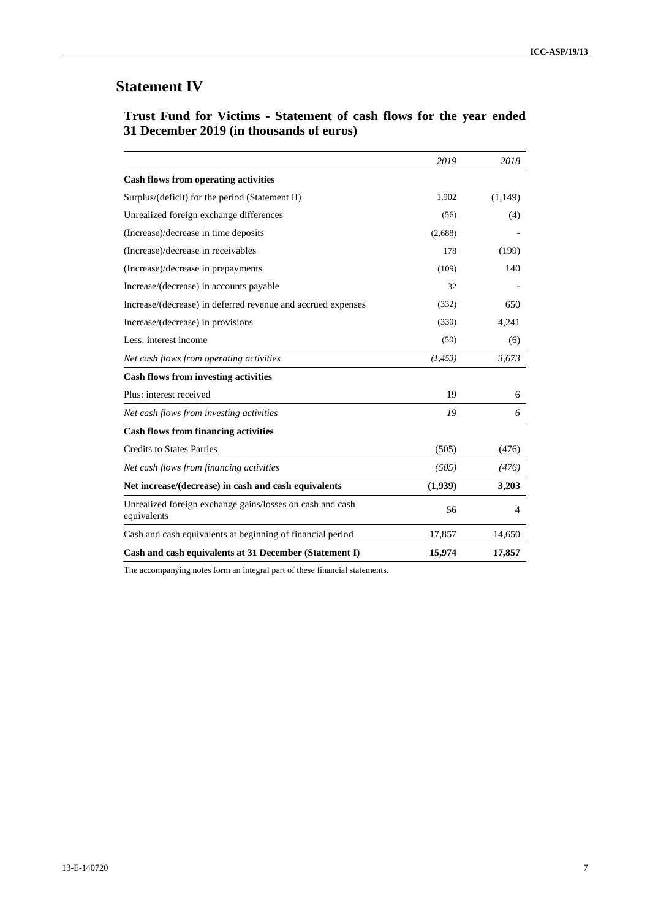# **Statement IV**

|  |  | Trust Fund for Victims - Statement of cash flows for the year ended |  |  |  |  |
|--|--|---------------------------------------------------------------------|--|--|--|--|
|  |  | 31 December 2019 (in thousands of euros)                            |  |  |  |  |

|                                                                          | 2019     | 2018    |
|--------------------------------------------------------------------------|----------|---------|
| <b>Cash flows from operating activities</b>                              |          |         |
| Surplus/(deficit) for the period (Statement II)                          | 1,902    | (1,149) |
| Unrealized foreign exchange differences                                  | (56)     | (4)     |
| (Increase)/decrease in time deposits                                     | (2,688)  |         |
| (Increase)/decrease in receivables                                       | 178      | (199)   |
| (Increase)/decrease in prepayments                                       | (109)    | 140     |
| Increase/(decrease) in accounts payable                                  | 32       |         |
| Increase/(decrease) in deferred revenue and accrued expenses             | (332)    | 650     |
| Increase/(decrease) in provisions                                        | (330)    | 4,241   |
| Less: interest income                                                    | (50)     | (6)     |
| Net cash flows from operating activities                                 | (1, 453) | 3,673   |
| <b>Cash flows from investing activities</b>                              |          |         |
| Plus: interest received                                                  | 19       | 6       |
| Net cash flows from investing activities                                 | 19       | 6       |
| <b>Cash flows from financing activities</b>                              |          |         |
| <b>Credits to States Parties</b>                                         | (505)    | (476)   |
| Net cash flows from financing activities                                 | (505)    | (476)   |
| Net increase/(decrease) in cash and cash equivalents                     | (1,939)  | 3,203   |
| Unrealized foreign exchange gains/losses on cash and cash<br>equivalents | 56       | 4       |
| Cash and cash equivalents at beginning of financial period               | 17,857   | 14,650  |
| Cash and cash equivalents at 31 December (Statement I)                   | 15,974   | 17,857  |

The accompanying notes form an integral part of these financial statements.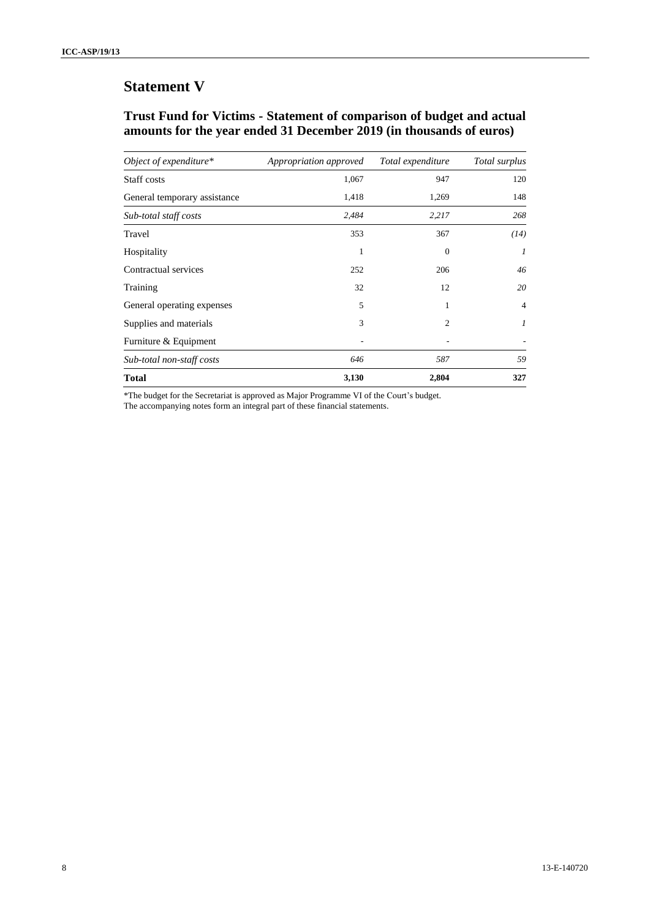# **Statement V**

## **Trust Fund for Victims - Statement of comparison of budget and actual amounts for the year ended 31 December 2019 (in thousands of euros)**

| Object of expenditure*       | Appropriation approved | Total expenditure | Total surplus    |
|------------------------------|------------------------|-------------------|------------------|
| Staff costs                  | 1,067                  | 947               | 120              |
| General temporary assistance | 1,418                  | 1,269             | 148              |
| Sub-total staff costs        | 2,484                  | 2,217             | 268              |
| Travel                       | 353                    | 367               | (14)             |
| Hospitality                  | 1                      | 0                 | $\boldsymbol{l}$ |
| Contractual services         | 252                    | 206               | 46               |
| Training                     | 32                     | 12                | 20               |
| General operating expenses   | 5                      | 1                 | $\overline{4}$   |
| Supplies and materials       | 3                      | 2                 | 1                |
| Furniture & Equipment        |                        |                   |                  |
| Sub-total non-staff costs    | 646                    | 587               | 59               |
| <b>Total</b>                 | 3,130                  | 2,804             | 327              |

\*The budget for the Secretariat is approved as Major Programme VI of the Court's budget. The accompanying notes form an integral part of these financial statements.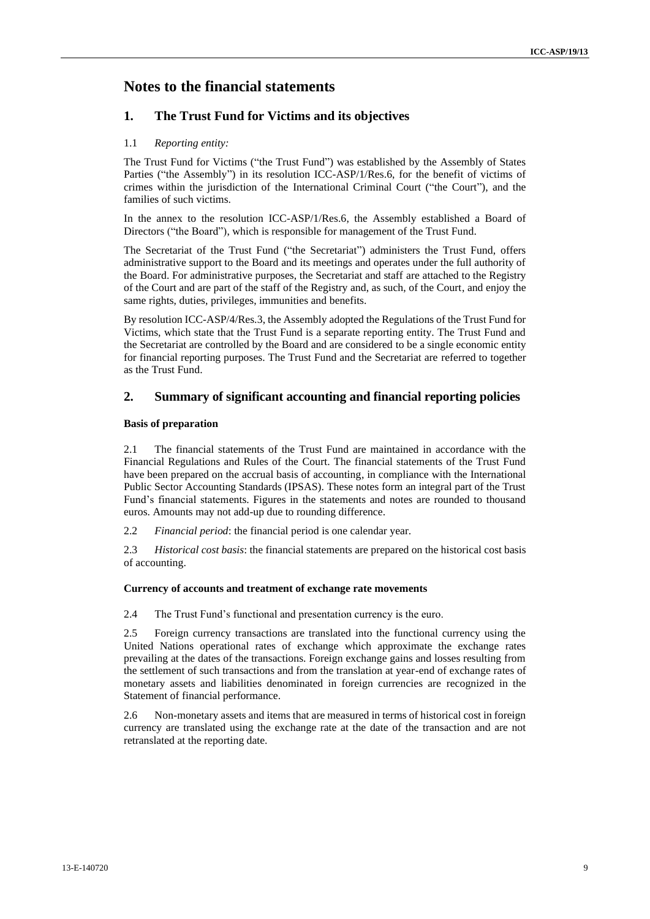# **Notes to the financial statements**

## **1. The Trust Fund for Victims and its objectives**

#### 1.1 *Reporting entity:*

The Trust Fund for Victims ("the Trust Fund") was established by the Assembly of States Parties ("the Assembly") in its resolution ICC-ASP/1/Res.6, for the benefit of victims of crimes within the jurisdiction of the International Criminal Court ("the Court"), and the families of such victims.

In the annex to the resolution ICC-ASP/1/Res.6, the Assembly established a Board of Directors ("the Board"), which is responsible for management of the Trust Fund.

The Secretariat of the Trust Fund ("the Secretariat") administers the Trust Fund, offers administrative support to the Board and its meetings and operates under the full authority of the Board. For administrative purposes, the Secretariat and staff are attached to the Registry of the Court and are part of the staff of the Registry and, as such, of the Court, and enjoy the same rights, duties, privileges, immunities and benefits.

By resolution ICC-ASP/4/Res.3, the Assembly adopted the Regulations of the Trust Fund for Victims, which state that the Trust Fund is a separate reporting entity. The Trust Fund and the Secretariat are controlled by the Board and are considered to be a single economic entity for financial reporting purposes. The Trust Fund and the Secretariat are referred to together as the Trust Fund.

## **2. Summary of significant accounting and financial reporting policies**

#### **Basis of preparation**

2.1 The financial statements of the Trust Fund are maintained in accordance with the Financial Regulations and Rules of the Court. The financial statements of the Trust Fund have been prepared on the accrual basis of accounting, in compliance with the International Public Sector Accounting Standards (IPSAS). These notes form an integral part of the Trust Fund's financial statements. Figures in the statements and notes are rounded to thousand euros. Amounts may not add-up due to rounding difference.

2.2 *Financial period*: the financial period is one calendar year.

2.3 *Historical cost basis*: the financial statements are prepared on the historical cost basis of accounting.

#### **Currency of accounts and treatment of exchange rate movements**

2.4 The Trust Fund's functional and presentation currency is the euro.

2.5 Foreign currency transactions are translated into the functional currency using the United Nations operational rates of exchange which approximate the exchange rates prevailing at the dates of the transactions. Foreign exchange gains and losses resulting from the settlement of such transactions and from the translation at year-end of exchange rates of monetary assets and liabilities denominated in foreign currencies are recognized in the Statement of financial performance.

2.6 Non-monetary assets and items that are measured in terms of historical cost in foreign currency are translated using the exchange rate at the date of the transaction and are not retranslated at the reporting date.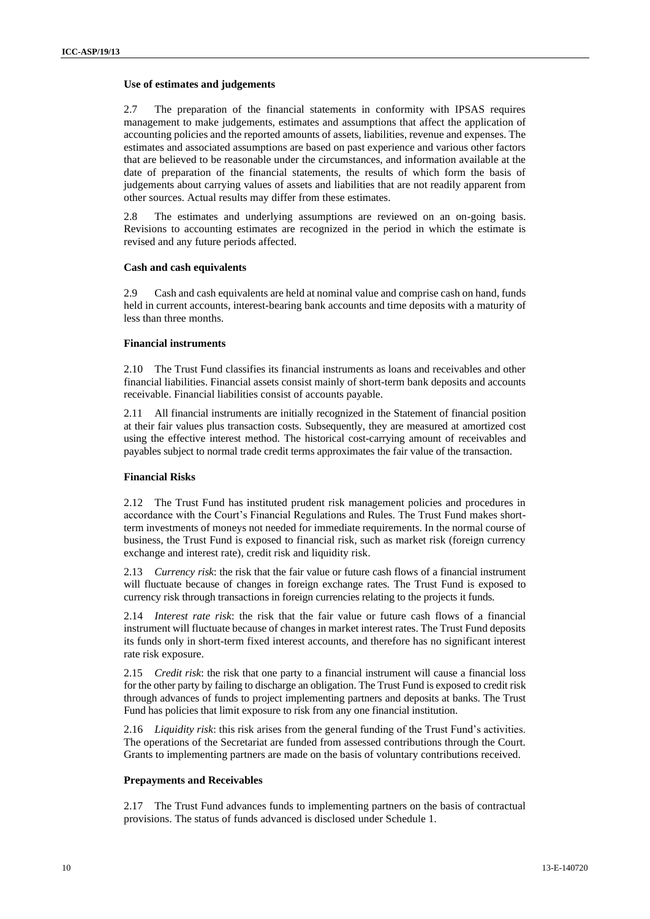#### **Use of estimates and judgements**

2.7 The preparation of the financial statements in conformity with IPSAS requires management to make judgements, estimates and assumptions that affect the application of accounting policies and the reported amounts of assets, liabilities, revenue and expenses. The estimates and associated assumptions are based on past experience and various other factors that are believed to be reasonable under the circumstances, and information available at the date of preparation of the financial statements, the results of which form the basis of judgements about carrying values of assets and liabilities that are not readily apparent from other sources. Actual results may differ from these estimates.

2.8 The estimates and underlying assumptions are reviewed on an on-going basis. Revisions to accounting estimates are recognized in the period in which the estimate is revised and any future periods affected.

#### **Cash and cash equivalents**

2.9 Cash and cash equivalents are held at nominal value and comprise cash on hand, funds held in current accounts, interest-bearing bank accounts and time deposits with a maturity of less than three months.

#### **Financial instruments**

2.10 The Trust Fund classifies its financial instruments as loans and receivables and other financial liabilities. Financial assets consist mainly of short-term bank deposits and accounts receivable. Financial liabilities consist of accounts payable.

2.11 All financial instruments are initially recognized in the Statement of financial position at their fair values plus transaction costs. Subsequently, they are measured at amortized cost using the effective interest method. The historical cost-carrying amount of receivables and payables subject to normal trade credit terms approximates the fair value of the transaction.

#### **Financial Risks**

2.12 The Trust Fund has instituted prudent risk management policies and procedures in accordance with the Court's Financial Regulations and Rules. The Trust Fund makes shortterm investments of moneys not needed for immediate requirements. In the normal course of business, the Trust Fund is exposed to financial risk, such as market risk (foreign currency exchange and interest rate), credit risk and liquidity risk.

2.13 *Currency risk*: the risk that the fair value or future cash flows of a financial instrument will fluctuate because of changes in foreign exchange rates. The Trust Fund is exposed to currency risk through transactions in foreign currencies relating to the projects it funds.

2.14 *Interest rate risk*: the risk that the fair value or future cash flows of a financial instrument will fluctuate because of changes in market interest rates. The Trust Fund deposits its funds only in short-term fixed interest accounts, and therefore has no significant interest rate risk exposure.

2.15 *Credit risk*: the risk that one party to a financial instrument will cause a financial loss for the other party by failing to discharge an obligation. The Trust Fund is exposed to credit risk through advances of funds to project implementing partners and deposits at banks. The Trust Fund has policies that limit exposure to risk from any one financial institution.

2.16 *Liquidity risk*: this risk arises from the general funding of the Trust Fund's activities. The operations of the Secretariat are funded from assessed contributions through the Court. Grants to implementing partners are made on the basis of voluntary contributions received.

#### **Prepayments and Receivables**

2.17 The Trust Fund advances funds to implementing partners on the basis of contractual provisions. The status of funds advanced is disclosed under Schedule 1.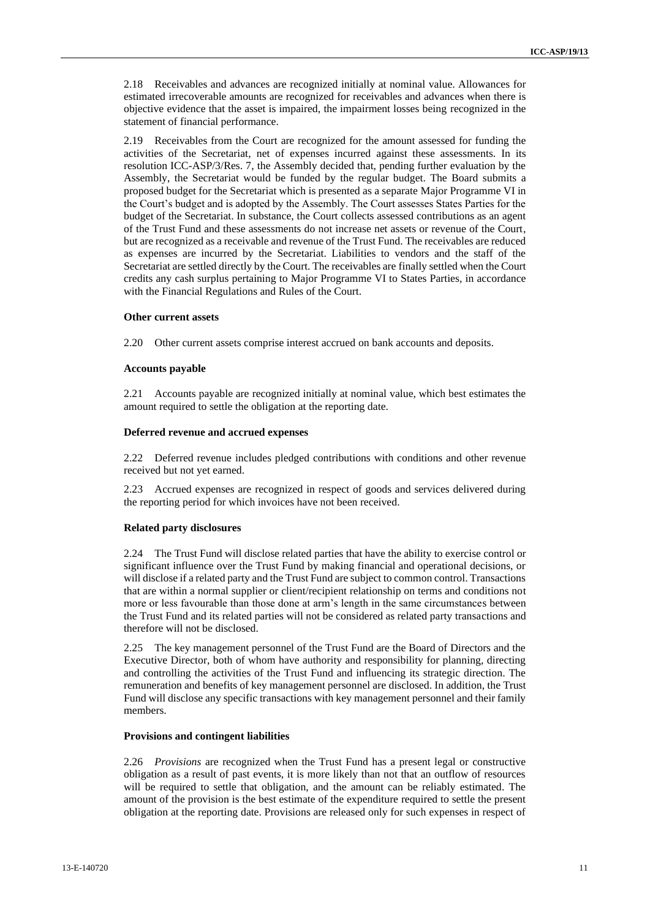2.18 Receivables and advances are recognized initially at nominal value. Allowances for estimated irrecoverable amounts are recognized for receivables and advances when there is objective evidence that the asset is impaired, the impairment losses being recognized in the statement of financial performance.

2.19 Receivables from the Court are recognized for the amount assessed for funding the activities of the Secretariat, net of expenses incurred against these assessments. In its resolution ICC-ASP/3/Res. 7, the Assembly decided that, pending further evaluation by the Assembly, the Secretariat would be funded by the regular budget. The Board submits a proposed budget for the Secretariat which is presented as a separate Major Programme VI in the Court's budget and is adopted by the Assembly. The Court assesses States Parties for the budget of the Secretariat. In substance, the Court collects assessed contributions as an agent of the Trust Fund and these assessments do not increase net assets or revenue of the Court, but are recognized as a receivable and revenue of the Trust Fund. The receivables are reduced as expenses are incurred by the Secretariat. Liabilities to vendors and the staff of the Secretariat are settled directly by the Court. The receivables are finally settled when the Court credits any cash surplus pertaining to Major Programme VI to States Parties, in accordance with the Financial Regulations and Rules of the Court.

#### **Other current assets**

2.20 Other current assets comprise interest accrued on bank accounts and deposits.

#### **Accounts payable**

2.21 Accounts payable are recognized initially at nominal value, which best estimates the amount required to settle the obligation at the reporting date.

#### **Deferred revenue and accrued expenses**

2.22 Deferred revenue includes pledged contributions with conditions and other revenue received but not yet earned.

2.23 Accrued expenses are recognized in respect of goods and services delivered during the reporting period for which invoices have not been received.

#### **Related party disclosures**

2.24 The Trust Fund will disclose related parties that have the ability to exercise control or significant influence over the Trust Fund by making financial and operational decisions, or will disclose if a related party and the Trust Fund are subject to common control. Transactions that are within a normal supplier or client/recipient relationship on terms and conditions not more or less favourable than those done at arm's length in the same circumstances between the Trust Fund and its related parties will not be considered as related party transactions and therefore will not be disclosed.

2.25 The key management personnel of the Trust Fund are the Board of Directors and the Executive Director, both of whom have authority and responsibility for planning, directing and controlling the activities of the Trust Fund and influencing its strategic direction. The remuneration and benefits of key management personnel are disclosed. In addition, the Trust Fund will disclose any specific transactions with key management personnel and their family members.

#### **Provisions and contingent liabilities**

2.26 *Provisions* are recognized when the Trust Fund has a present legal or constructive obligation as a result of past events, it is more likely than not that an outflow of resources will be required to settle that obligation, and the amount can be reliably estimated. The amount of the provision is the best estimate of the expenditure required to settle the present obligation at the reporting date. Provisions are released only for such expenses in respect of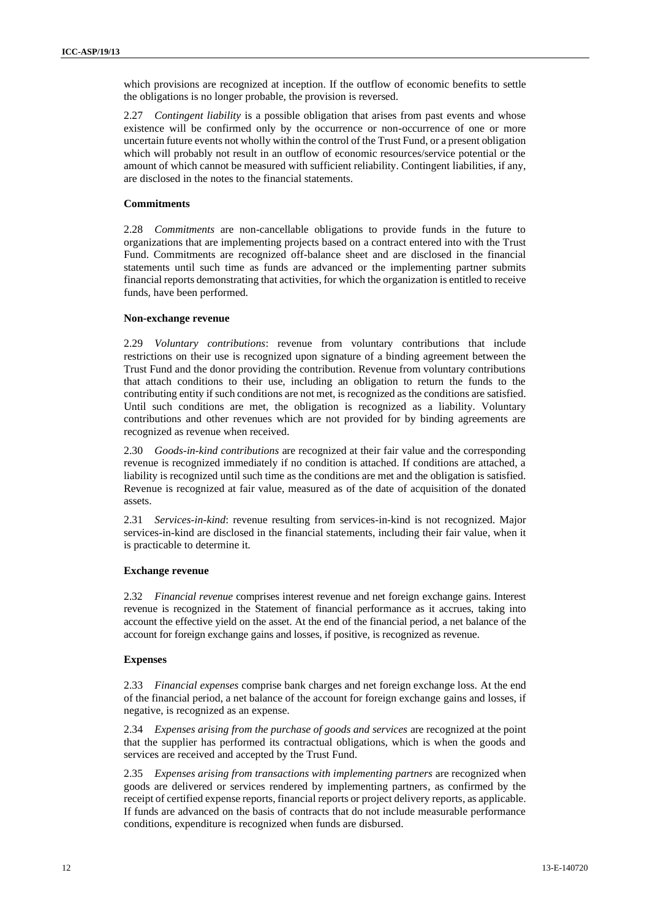which provisions are recognized at inception. If the outflow of economic benefits to settle the obligations is no longer probable, the provision is reversed.

2.27 *Contingent liability* is a possible obligation that arises from past events and whose existence will be confirmed only by the occurrence or non-occurrence of one or more uncertain future events not wholly within the control of the Trust Fund, or a present obligation which will probably not result in an outflow of economic resources/service potential or the amount of which cannot be measured with sufficient reliability. Contingent liabilities, if any, are disclosed in the notes to the financial statements.

#### **Commitments**

2.28 *Commitments* are non-cancellable obligations to provide funds in the future to organizations that are implementing projects based on a contract entered into with the Trust Fund. Commitments are recognized off-balance sheet and are disclosed in the financial statements until such time as funds are advanced or the implementing partner submits financial reports demonstrating that activities, for which the organization is entitled to receive funds, have been performed.

#### **Non-exchange revenue**

2.29 *Voluntary contributions*: revenue from voluntary contributions that include restrictions on their use is recognized upon signature of a binding agreement between the Trust Fund and the donor providing the contribution. Revenue from voluntary contributions that attach conditions to their use, including an obligation to return the funds to the contributing entity if such conditions are not met, is recognized as the conditions are satisfied. Until such conditions are met, the obligation is recognized as a liability. Voluntary contributions and other revenues which are not provided for by binding agreements are recognized as revenue when received.

2.30 *Goods-in-kind contributions* are recognized at their fair value and the corresponding revenue is recognized immediately if no condition is attached. If conditions are attached, a liability is recognized until such time as the conditions are met and the obligation is satisfied. Revenue is recognized at fair value, measured as of the date of acquisition of the donated assets.

2.31 *Services-in-kind*: revenue resulting from services-in-kind is not recognized. Major services-in-kind are disclosed in the financial statements, including their fair value, when it is practicable to determine it*.*

#### **Exchange revenue**

2.32 *Financial revenue* comprises interest revenue and net foreign exchange gains. Interest revenue is recognized in the Statement of financial performance as it accrues, taking into account the effective yield on the asset. At the end of the financial period, a net balance of the account for foreign exchange gains and losses, if positive, is recognized as revenue.

#### **Expenses**

2.33 *Financial expenses* comprise bank charges and net foreign exchange loss. At the end of the financial period, a net balance of the account for foreign exchange gains and losses, if negative, is recognized as an expense.

2.34 *Expenses arising from the purchase of goods and services* are recognized at the point that the supplier has performed its contractual obligations, which is when the goods and services are received and accepted by the Trust Fund.

2.35 *Expenses arising from transactions with implementing partners* are recognized when goods are delivered or services rendered by implementing partners, as confirmed by the receipt of certified expense reports, financial reports or project delivery reports, as applicable. If funds are advanced on the basis of contracts that do not include measurable performance conditions, expenditure is recognized when funds are disbursed.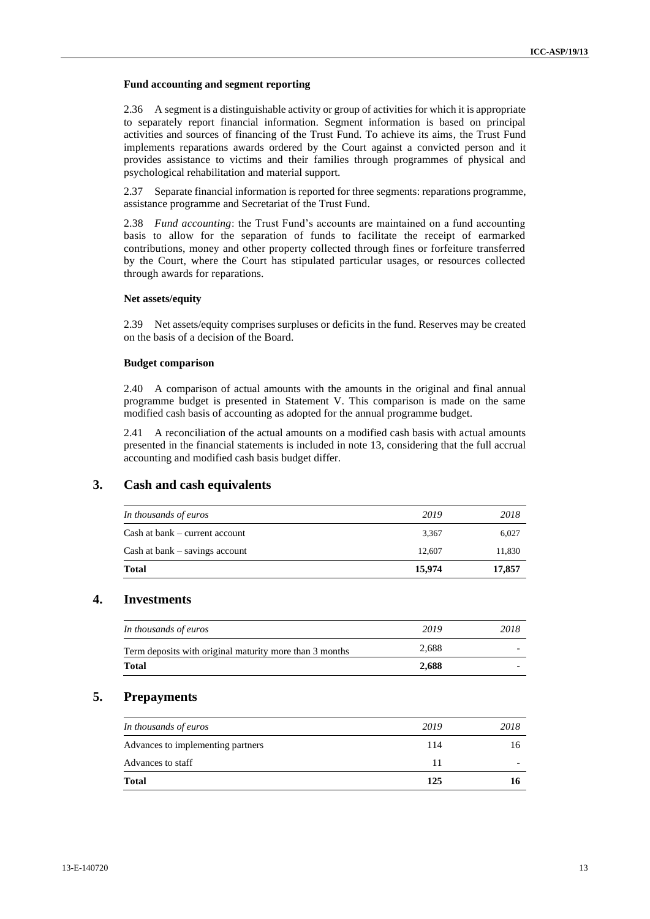#### **Fund accounting and segment reporting**

2.36 A segment is a distinguishable activity or group of activities for which it is appropriate to separately report financial information. Segment information is based on principal activities and sources of financing of the Trust Fund. To achieve its aims, the Trust Fund implements reparations awards ordered by the Court against a convicted person and it provides assistance to victims and their families through programmes of physical and psychological rehabilitation and material support.

2.37 Separate financial information is reported for three segments: reparations programme, assistance programme and Secretariat of the Trust Fund.

2.38 *Fund accounting*: the Trust Fund's accounts are maintained on a fund accounting basis to allow for the separation of funds to facilitate the receipt of earmarked contributions, money and other property collected through fines or forfeiture transferred by the Court, where the Court has stipulated particular usages, or resources collected through awards for reparations.

#### **Net assets/equity**

2.39 Net assets/equity comprises surpluses or deficits in the fund. Reserves may be created on the basis of a decision of the Board.

#### **Budget comparison**

2.40 A comparison of actual amounts with the amounts in the original and final annual programme budget is presented in Statement V. This comparison is made on the same modified cash basis of accounting as adopted for the annual programme budget.

2.41 A reconciliation of the actual amounts on a modified cash basis with actual amounts presented in the financial statements is included in note 13, considering that the full accrual accounting and modified cash basis budget differ.

### **3. Cash and cash equivalents**

| In thousands of euros              | 2019   | 2018   |
|------------------------------------|--------|--------|
| $Cash$ at bank $-$ current account | 3.367  | 6,027  |
| $Cash$ at bank $-$ savings account | 12.607 | 11,830 |
| <b>Total</b>                       | 15,974 | 17,857 |

### **4. Investments**

| <b>Total</b>                                            | 2.688 |      |
|---------------------------------------------------------|-------|------|
| Term deposits with original maturity more than 3 months | 2.688 |      |
| In thousands of euros                                   | 2019  | 2018 |
|                                                         |       |      |

#### **5. Prepayments**

| Advances to staff                 | 11   |      |
|-----------------------------------|------|------|
| Advances to implementing partners | 114  | 16.  |
| In thousands of euros             | 2019 | 2018 |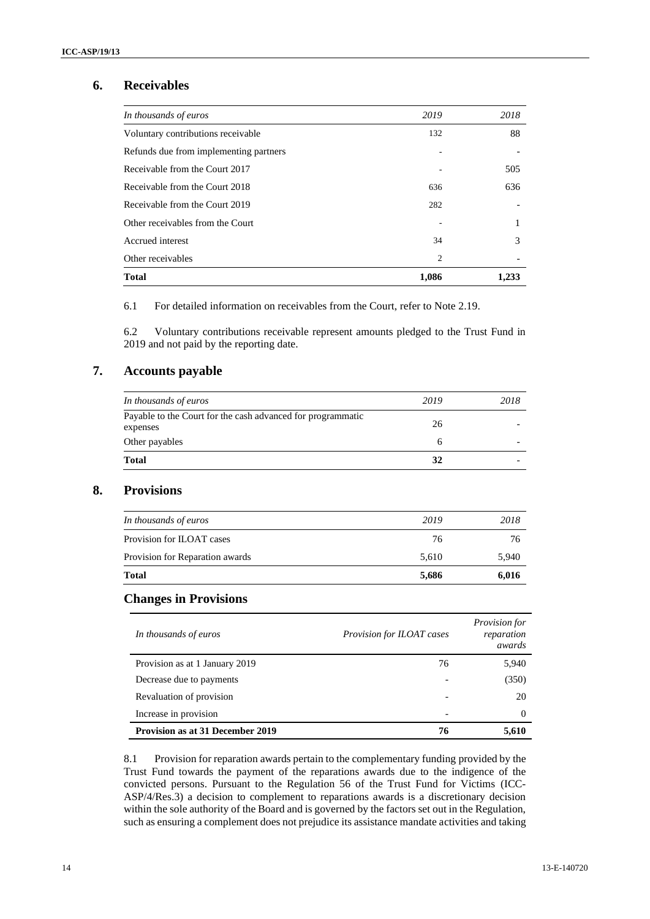## **6. Receivables**

| In thousands of euros                  | 2019           | 2018  |
|----------------------------------------|----------------|-------|
| Voluntary contributions receivable     | 132            | 88    |
| Refunds due from implementing partners |                |       |
| Receivable from the Court 2017         |                | 505   |
| Receivable from the Court 2018         | 636            | 636   |
| Receivable from the Court 2019         | 282            |       |
| Other receivables from the Court       |                |       |
| Accrued interest                       | 34             | 3     |
| Other receivables                      | $\overline{2}$ |       |
| <b>Total</b>                           | 1,086          | 1,233 |

6.1 For detailed information on receivables from the Court, refer to Note 2.19.

6.2 Voluntary contributions receivable represent amounts pledged to the Trust Fund in 2019 and not paid by the reporting date.

### **7. Accounts payable**

| <b>Total</b>                                                | 32   |      |
|-------------------------------------------------------------|------|------|
| Other payables                                              | n    |      |
| expenses                                                    | 26   |      |
| Payable to the Court for the cash advanced for programmatic |      |      |
| In thousands of euros                                       | 2019 | 2018 |

## **8. Provisions**

| <b>Total</b>                    | 5,686 | 6,016 |
|---------------------------------|-------|-------|
| Provision for Reparation awards | 5.610 | 5,940 |
| Provision for ILOAT cases       | 76    | 76    |
| In thousands of euros           | 2019  | 2018  |
|                                 |       |       |

### **Changes in Provisions**

| In thousands of euros                   | Provision for ILOAT cases | <i>Provision for</i><br>reparation<br>awards |
|-----------------------------------------|---------------------------|----------------------------------------------|
| Provision as at 1 January 2019          | 76                        | 5,940                                        |
| Decrease due to payments                |                           | (350)                                        |
| Revaluation of provision                |                           | 20                                           |
| Increase in provision                   |                           | $\Omega$                                     |
| <b>Provision as at 31 December 2019</b> | 76                        | 5,610                                        |

8.1 Provision for reparation awards pertain to the complementary funding provided by the Trust Fund towards the payment of the reparations awards due to the indigence of the convicted persons. Pursuant to the Regulation 56 of the Trust Fund for Victims (ICC-ASP/4/Res.3) a decision to complement to reparations awards is a discretionary decision within the sole authority of the Board and is governed by the factors set out in the Regulation, such as ensuring a complement does not prejudice its assistance mandate activities and taking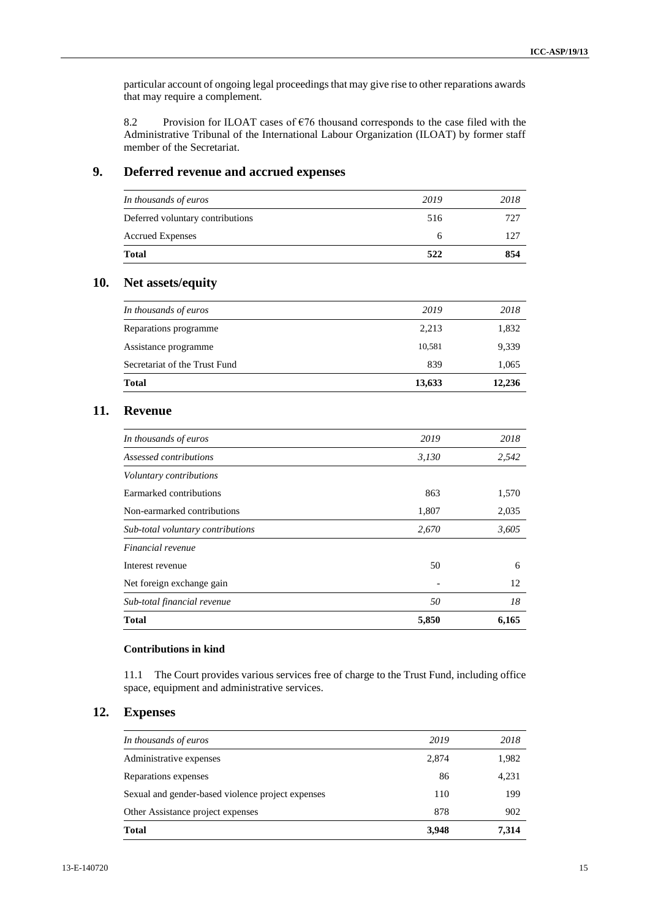particular account of ongoing legal proceedings that may give rise to other reparations awards that may require a complement.

8.2 Provision for ILOAT cases of  $676$  thousand corresponds to the case filed with the Administrative Tribunal of the International Labour Organization (ILOAT) by former staff member of the Secretariat.

### **9. Deferred revenue and accrued expenses**

| <b>Accrued Expenses</b>          |      | 127  |
|----------------------------------|------|------|
| Deferred voluntary contributions | 516  | 727  |
| In thousands of euros            | 2019 | 2018 |

## **10. Net assets/equity**

| <b>Total</b>                  | 13,633 | 12,236 |
|-------------------------------|--------|--------|
| Secretariat of the Trust Fund | 839    | 1,065  |
| Assistance programme          | 10,581 | 9,339  |
| Reparations programme         | 2,213  | 1,832  |
| In thousands of euros         | 2019   | 2018   |
|                               |        |        |

### **11. Revenue**

| 50    | 18    |
|-------|-------|
|       |       |
|       | 12    |
| 50    | 6     |
|       |       |
| 2,670 | 3,605 |
| 1,807 | 2,035 |
| 863   | 1,570 |
|       |       |
| 3,130 | 2,542 |
| 2019  | 2018  |
|       |       |

#### **Contributions in kind**

11.1 The Court provides various services free of charge to the Trust Fund, including office space, equipment and administrative services.

## **12. Expenses**

| <b>Total</b>                                      | 3,948 | 7.314 |
|---------------------------------------------------|-------|-------|
| Other Assistance project expenses                 | 878   | 902   |
| Sexual and gender-based violence project expenses | 110   | 199   |
| Reparations expenses                              | 86    | 4,231 |
| Administrative expenses                           | 2,874 | 1,982 |
| In thousands of euros                             | 2019  | 2018  |
|                                                   |       |       |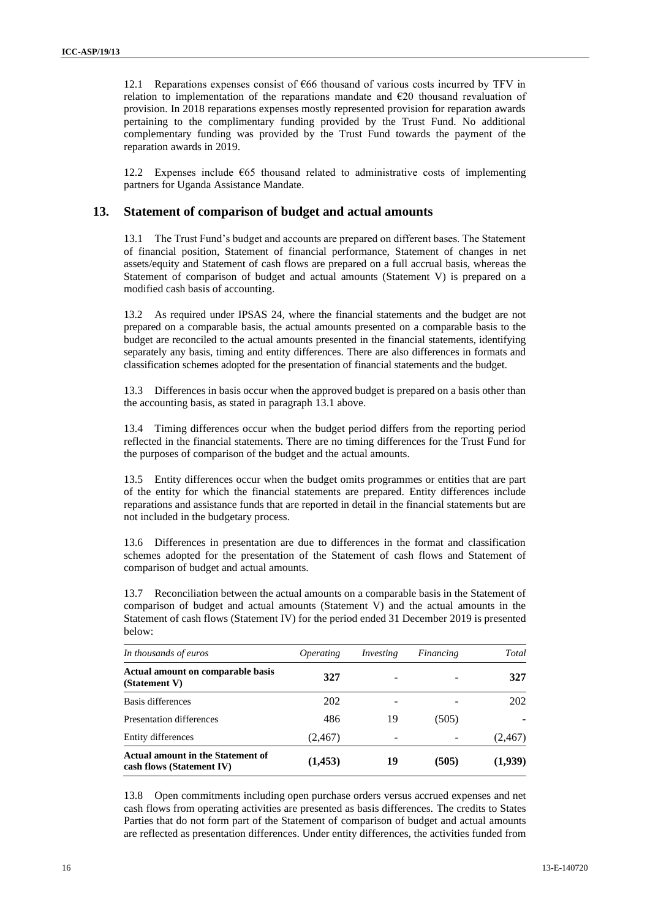12.1 Reparations expenses consist of €66 thousand of various costs incurred by TFV in relation to implementation of the reparations mandate and  $E20$  thousand revaluation of provision. In 2018 reparations expenses mostly represented provision for reparation awards pertaining to the complimentary funding provided by the Trust Fund. No additional complementary funding was provided by the Trust Fund towards the payment of the reparation awards in 2019.

12.2 Expenses include €65 thousand related to administrative costs of implementing partners for Uganda Assistance Mandate.

### **13. Statement of comparison of budget and actual amounts**

<span id="page-15-0"></span>13.1 The Trust Fund's budget and accounts are prepared on different bases. The Statement of financial position, Statement of financial performance, Statement of changes in net assets/equity and Statement of cash flows are prepared on a full accrual basis, whereas the Statement of comparison of budget and actual amounts (Statement V) is prepared on a modified cash basis of accounting.

13.2 As required under IPSAS 24, where the financial statements and the budget are not prepared on a comparable basis, the actual amounts presented on a comparable basis to the budget are reconciled to the actual amounts presented in the financial statements, identifying separately any basis, timing and entity differences. There are also differences in formats and classification schemes adopted for the presentation of financial statements and the budget.

13.3 Differences in basis occur when the approved budget is prepared on a basis other than the accounting basis, as stated in paragraph [13.1](#page-15-0) above.

13.4 Timing differences occur when the budget period differs from the reporting period reflected in the financial statements. There are no timing differences for the Trust Fund for the purposes of comparison of the budget and the actual amounts.

13.5 Entity differences occur when the budget omits programmes or entities that are part of the entity for which the financial statements are prepared. Entity differences include reparations and assistance funds that are reported in detail in the financial statements but are not included in the budgetary process.

13.6 Differences in presentation are due to differences in the format and classification schemes adopted for the presentation of the Statement of cash flows and Statement of comparison of budget and actual amounts.

13.7 Reconciliation between the actual amounts on a comparable basis in the Statement of comparison of budget and actual amounts (Statement V) and the actual amounts in the Statement of cash flows (Statement IV) for the period ended 31 December 2019 is presented below:

| In thousands of euros                                                 | <i><b>Operating</b></i> | Investing | Financing | Total    |
|-----------------------------------------------------------------------|-------------------------|-----------|-----------|----------|
| Actual amount on comparable basis<br>(Statement V)                    | 327                     |           |           | 327      |
| Basis differences                                                     | 202                     |           |           | 202      |
| Presentation differences                                              | 486                     | 19        | (505)     |          |
| Entity differences                                                    | (2, 467)                | -         |           | (2, 467) |
| <b>Actual amount in the Statement of</b><br>cash flows (Statement IV) | (1, 453)                | 19        | (505)     | (1,939)  |

13.8 Open commitments including open purchase orders versus accrued expenses and net cash flows from operating activities are presented as basis differences. The credits to States Parties that do not form part of the Statement of comparison of budget and actual amounts are reflected as presentation differences. Under entity differences, the activities funded from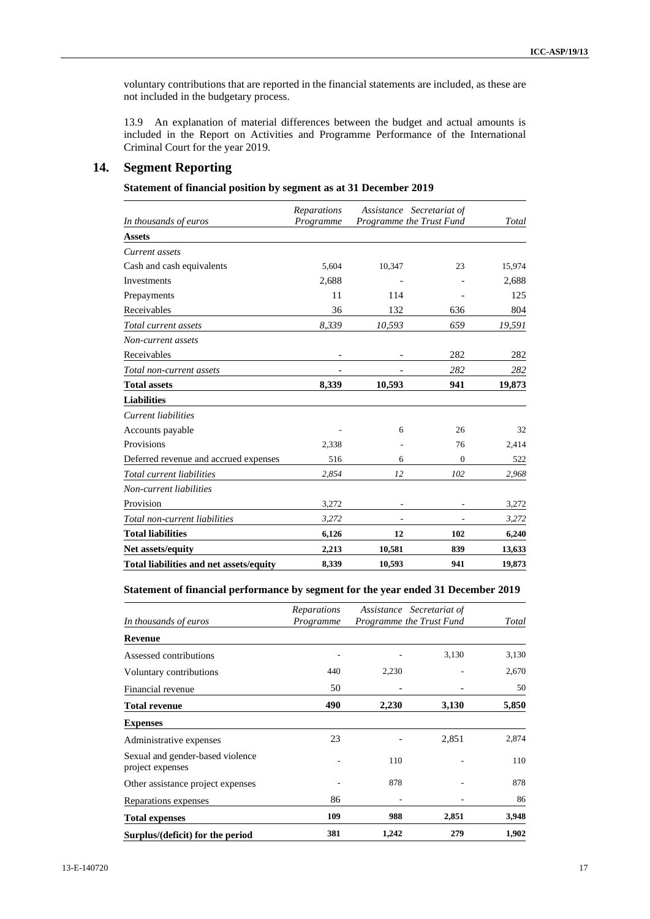voluntary contributions that are reported in the financial statements are included, as these are not included in the budgetary process.

13.9 An explanation of material differences between the budget and actual amounts is included in the Report on Activities and Programme Performance of the International Criminal Court for the year 2019.

## **14. Segment Reporting**

|  |  | Statement of financial position by segment as at 31 December 2019 |
|--|--|-------------------------------------------------------------------|
|--|--|-------------------------------------------------------------------|

| In thousands of euros                   | Reparations<br>Assistance Secretariat of<br>Programme the Trust Fund<br>Programme |        | Total    |        |
|-----------------------------------------|-----------------------------------------------------------------------------------|--------|----------|--------|
| <b>Assets</b>                           |                                                                                   |        |          |        |
| Current assets                          |                                                                                   |        |          |        |
| Cash and cash equivalents               | 5.604                                                                             | 10,347 | 23       | 15,974 |
| <b>Investments</b>                      | 2,688                                                                             |        |          | 2,688  |
| Prepayments                             | 11                                                                                | 114    |          | 125    |
| Receivables                             | 36                                                                                | 132    | 636      | 804    |
| Total current assets                    | 8,339                                                                             | 10,593 | 659      | 19,591 |
| Non-current assets                      |                                                                                   |        |          |        |
| Receivables                             |                                                                                   |        | 282      | 282    |
| Total non-current assets                |                                                                                   |        | 282      | 282    |
| <b>Total assets</b>                     | 8,339                                                                             | 10,593 | 941      | 19,873 |
| <b>Liabilities</b>                      |                                                                                   |        |          |        |
| Current liabilities                     |                                                                                   |        |          |        |
| Accounts payable                        |                                                                                   | 6      | 26       | 32     |
| Provisions                              | 2,338                                                                             |        | 76       | 2,414  |
| Deferred revenue and accrued expenses   | 516                                                                               | 6      | $\Omega$ | 522    |
| Total current liabilities               | 2,854                                                                             | 12     | 102      | 2,968  |
| Non-current liabilities                 |                                                                                   |        |          |        |
| Provision                               | 3,272                                                                             |        |          | 3,272  |
| Total non-current liabilities           | 3,272                                                                             |        |          | 3,272  |
| <b>Total liabilities</b>                | 6,126                                                                             | 12     | 102      | 6,240  |
| Net assets/equity                       | 2,213                                                                             | 10,581 | 839      | 13,633 |
| Total liabilities and net assets/equity | 8,339                                                                             | 10,593 | 941      | 19,873 |

#### **Statement of financial performance by segment for the year ended 31 December 2019**

|                                                      | Reparations |       | Assistance Secretariat of |       |
|------------------------------------------------------|-------------|-------|---------------------------|-------|
| In thousands of euros                                | Programme   |       | Programme the Trust Fund  | Total |
| <b>Revenue</b>                                       |             |       |                           |       |
| Assessed contributions                               |             |       | 3,130                     | 3,130 |
| Voluntary contributions                              | 440         | 2,230 |                           | 2,670 |
| Financial revenue                                    | 50          |       |                           | 50    |
| <b>Total revenue</b>                                 | 490         | 2,230 | 3,130                     | 5,850 |
| <b>Expenses</b>                                      |             |       |                           |       |
| Administrative expenses                              | 23          |       | 2,851                     | 2,874 |
| Sexual and gender-based violence<br>project expenses |             | 110   |                           | 110   |
| Other assistance project expenses                    |             | 878   |                           | 878   |
| Reparations expenses                                 | 86          |       |                           | 86    |
| <b>Total expenses</b>                                | 109         | 988   | 2,851                     | 3,948 |
| Surplus/(deficit) for the period                     | 381         | 1,242 | 279                       | 1,902 |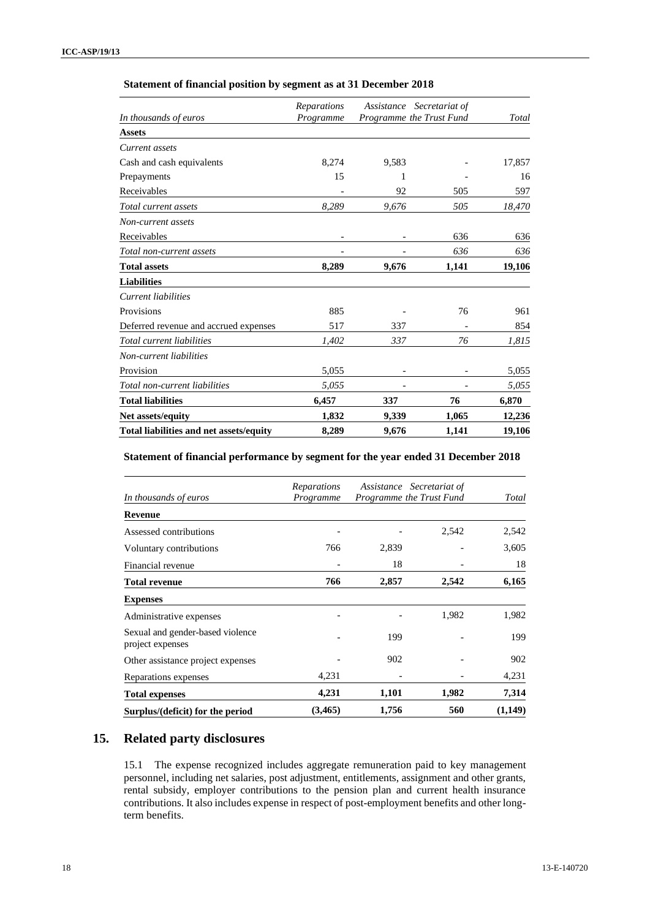### **Statement of financial position by segment as at 31 December 2018**

| Total liabilities and net assets/equity | 8,289       | 9,676      | 1,141                    | 19,106 |
|-----------------------------------------|-------------|------------|--------------------------|--------|
| Net assets/equity                       | 1,832       | 9,339      | 1,065                    | 12,236 |
| <b>Total liabilities</b>                | 6,457       | 337        | 76                       | 6,870  |
| Total non-current liabilities           | 5,055       |            |                          | 5,055  |
| Provision                               | 5,055       |            |                          | 5,055  |
| Non-current liabilities                 |             |            |                          |        |
| Total current liabilities               | 1,402       | 337        | 76                       | 1,815  |
| Deferred revenue and accrued expenses   | 517         | 337        |                          | 854    |
| Provisions                              | 885         |            | 76                       | 961    |
| Current liabilities                     |             |            |                          |        |
| <b>Liabilities</b>                      |             |            |                          |        |
| <b>Total assets</b>                     | 8,289       | 9,676      | 1,141                    | 19,106 |
| Total non-current assets                |             |            | 636                      | 636    |
| Receivables                             |             |            | 636                      | 636    |
| Non-current assets                      |             |            |                          |        |
| Total current assets                    | 8,289       | 9,676      | 505                      | 18,470 |
| Receivables                             |             | 92         | 505                      | 597    |
| Prepayments                             | 15          | 1          |                          | 16     |
| Cash and cash equivalents               | 8,274       | 9,583      |                          | 17,857 |
| Current assets                          |             |            |                          |        |
| <b>Assets</b>                           |             |            |                          |        |
| In thousands of euros                   | Programme   |            | Programme the Trust Fund | Total  |
|                                         | Reparations | Assistance | Secretariat of           |        |

#### **Statement of financial performance by segment for the year ended 31 December 2018**

| <b>Total expenses</b>                                | 4,231                           | 1,101                    | 1,982                     | 7,314<br>(1,149) |
|------------------------------------------------------|---------------------------------|--------------------------|---------------------------|------------------|
| Reparations expenses                                 | 4,231                           |                          |                           | 4,231            |
| Other assistance project expenses                    |                                 | 902                      |                           | 902              |
| Sexual and gender-based violence<br>project expenses |                                 | 199                      |                           | 199              |
| Administrative expenses                              |                                 |                          | 1,982                     | 1,982            |
| <b>Expenses</b>                                      |                                 |                          |                           |                  |
| <b>Total revenue</b>                                 | 766                             | 2,857                    | 2,542                     | 6,165            |
| Financial revenue                                    |                                 | 18                       |                           | 18               |
| Voluntary contributions                              | 766                             | 2,839                    |                           | 3,605            |
| Assessed contributions                               |                                 |                          | 2,542                     | 2,542            |
| <b>Revenue</b>                                       |                                 |                          |                           |                  |
| In thousands of euros                                | <b>Reparations</b><br>Programme | Programme the Trust Fund | Assistance Secretariat of | Total            |

## **15. Related party disclosures**

15.1 The expense recognized includes aggregate remuneration paid to key management personnel, including net salaries, post adjustment, entitlements, assignment and other grants, rental subsidy, employer contributions to the pension plan and current health insurance contributions. It also includes expense in respect of post-employment benefits and other longterm benefits.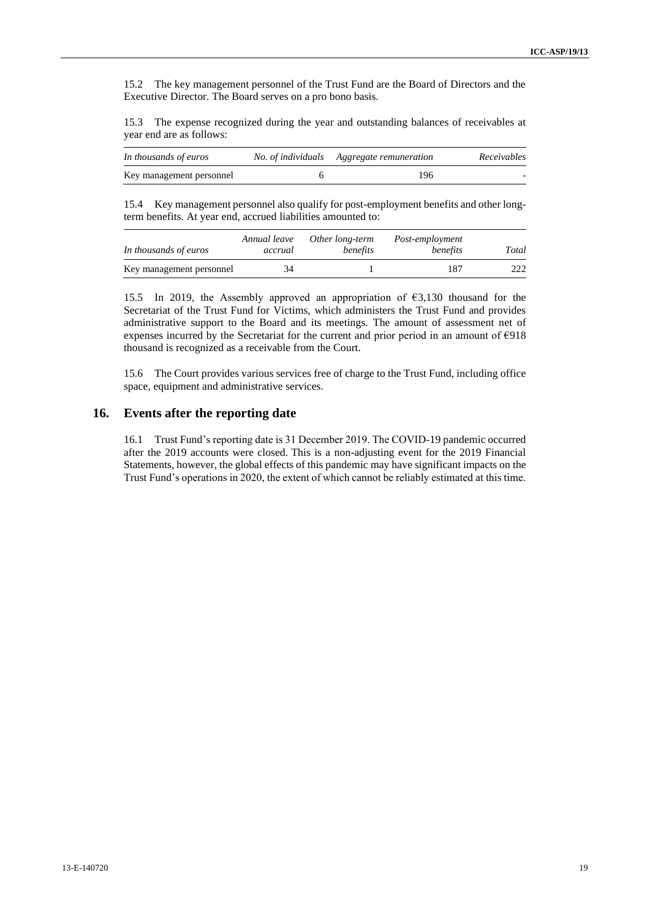15.2 The key management personnel of the Trust Fund are the Board of Directors and the Executive Director. The Board serves on a pro bono basis.

15.3 The expense recognized during the year and outstanding balances of receivables at year end are as follows:

| In thousands of euros    | No. of individuals Aggregate remuneration | Receivables |  |
|--------------------------|-------------------------------------------|-------------|--|
| Key management personnel | 196                                       |             |  |

15.4 Key management personnel also qualify for post-employment benefits and other longterm benefits. At year end, accrued liabilities amounted to:

| In thousands of euros    | Annual leave<br>accrual | Other long-term<br>benefits | Post-employment<br>benefits | Total |
|--------------------------|-------------------------|-----------------------------|-----------------------------|-------|
| Key management personnel | 34                      |                             | 187                         | 222   |

15.5 In 2019, the Assembly approved an appropriation of €3,130 thousand for the Secretariat of the Trust Fund for Victims, which administers the Trust Fund and provides administrative support to the Board and its meetings. The amount of assessment net of expenses incurred by the Secretariat for the current and prior period in an amount of €918 thousand is recognized as a receivable from the Court.

15.6 The Court provides various services free of charge to the Trust Fund, including office space, equipment and administrative services.

### **16. Events after the reporting date**

16.1 Trust Fund's reporting date is 31 December 2019. The COVID-19 pandemic occurred after the 2019 accounts were closed. This is a non-adjusting event for the 2019 Financial Statements, however, the global effects of this pandemic may have significant impacts on the Trust Fund's operations in 2020, the extent of which cannot be reliably estimated at this time.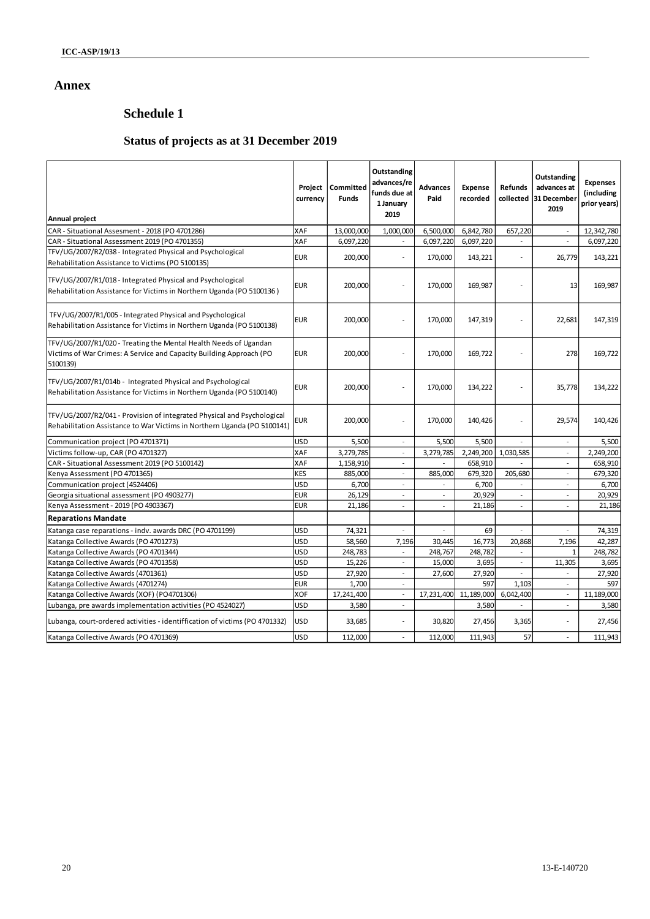## **Annex**

# **Schedule 1**

# **Status of projects as at 31 December 2019**

| Annual project                                                                                                                                      | Project<br>currency | Committed<br><b>Funds</b> | Outstanding<br>advances/re<br>funds due at<br>1 January<br>2019 | <b>Advances</b><br>Paid | <b>Expense</b><br>recorded | Refunds<br>collected     | Outstanding<br>advances at<br>31 December<br>2019 | <b>Expenses</b><br>(including<br>prior years) |
|-----------------------------------------------------------------------------------------------------------------------------------------------------|---------------------|---------------------------|-----------------------------------------------------------------|-------------------------|----------------------------|--------------------------|---------------------------------------------------|-----------------------------------------------|
| CAR - Situational Assesment - 2018 (PO 4701286)                                                                                                     | XAF                 | 13,000,000                | 1,000,000                                                       | 6,500,000               | 6,842,780                  | 657,220                  |                                                   | 12,342,780                                    |
| CAR - Situational Assessment 2019 (PO 4701355)                                                                                                      | XAF                 | 6,097,220                 | $\mathbf{r}$                                                    | 6,097,220               | 6,097,220                  |                          | $\sim$                                            | 6,097,220                                     |
| TFV/UG/2007/R2/038 - Integrated Physical and Psychological<br>Rehabilitation Assistance to Victims (PO 5100135)                                     | <b>EUR</b>          | 200,000                   | $\sim$                                                          | 170,000                 | 143,221                    | $\sim$                   | 26,779                                            | 143,221                                       |
| TFV/UG/2007/R1/018 - Integrated Physical and Psychological<br>Rehabilitation Assistance for Victims in Northern Uganda (PO 5100136)                 | <b>EUR</b>          | 200,000                   | L,                                                              | 170,000                 | 169,987                    |                          | 13                                                | 169,987                                       |
| TFV/UG/2007/R1/005 - Integrated Physical and Psychological<br>Rehabilitation Assistance for Victims in Northern Uganda (PO 5100138)                 | <b>EUR</b>          | 200,000                   | ÷,                                                              | 170,000                 | 147,319                    |                          | 22,681                                            | 147,319                                       |
| TFV/UG/2007/R1/020 - Treating the Mental Health Needs of Ugandan<br>Victims of War Crimes: A Service and Capacity Building Approach (PO<br>5100139) | <b>EUR</b>          | 200,000                   | L.                                                              | 170,000                 | 169,722                    |                          | 278                                               | 169,722                                       |
| TFV/UG/2007/R1/014b - Integrated Physical and Psychological<br>Rehabilitation Assistance for Victims in Northern Uganda (PO 5100140)                | <b>EUR</b>          | 200,000                   | $\ddot{\phantom{0}}$                                            | 170,000                 | 134,222                    |                          | 35,778                                            | 134,222                                       |
| TFV/UG/2007/R2/041 - Provision of integrated Physical and Psychological<br>Rehabilitation Assistance to War Victims in Northern Uganda (PO 5100141) | eur                 | 200,000                   | ÷,                                                              | 170,000                 | 140,426                    |                          | 29,574                                            | 140,426                                       |
| Communication project (PO 4701371)                                                                                                                  | <b>USD</b>          | 5,500                     | $\sim$                                                          | 5,500                   | 5,500                      | $\overline{\phantom{a}}$ | $\overline{\phantom{a}}$                          | 5,500                                         |
| Victims follow-up, CAR (PO 4701327)                                                                                                                 | XAF                 | 3,279,785                 | $\sim$                                                          | 3,279,785               | 2,249,200                  | 1,030,585                | $\sim$                                            | 2,249,200                                     |
| CAR - Situational Assessment 2019 (PO 5100142)                                                                                                      | XAF                 | 1,158,910                 | $\sim$                                                          |                         | 658,910                    |                          | $\overline{a}$                                    | 658,910                                       |
| Kenya Assessment (PO 4701365)                                                                                                                       | <b>KES</b>          | 885,000                   | $\sim$                                                          | 885,000                 | 679,320                    | 205,680                  | $\sim$                                            | 679,320                                       |
| Communication project (4524406)                                                                                                                     | USD                 | 6,700                     | $\sim$                                                          | $\sim$                  | 6,700                      | $\sim$                   | $\sim$                                            | 6,700                                         |
| Georgia situational assessment (PO 4903277)                                                                                                         | <b>EUR</b>          | 26,129                    | $\sim$                                                          |                         | 20,929                     |                          |                                                   | 20,929                                        |
| Kenya Assessment - 2019 (PO 4903367)                                                                                                                | <b>EUR</b>          | 21,186                    | ÷,                                                              | $\ddot{\phantom{0}}$    | 21,186                     | $\ddot{\phantom{0}}$     | $\ddot{\phantom{0}}$                              | 21,186                                        |
| <b>Reparations Mandate</b>                                                                                                                          |                     |                           |                                                                 |                         |                            |                          |                                                   |                                               |
| Katanga case reparations - indv. awards DRC (PO 4701199)                                                                                            | <b>USD</b>          | 74,321                    |                                                                 |                         | 69                         |                          |                                                   | 74,319                                        |
| Katanga Collective Awards (PO 4701273)                                                                                                              | <b>USD</b>          | 58,560                    | 7,196                                                           | 30.445                  | 16,773                     | 20,868                   | 7,196                                             | 42,287                                        |
| Katanga Collective Awards (PO 4701344)                                                                                                              | <b>USD</b>          | 248,783                   | $\sim$                                                          | 248,767                 | 248,782                    | $\sim$                   | $\mathbf 1$                                       | 248,782                                       |
| Katanga Collective Awards (PO 4701358)                                                                                                              | <b>USD</b>          | 15,226                    | $\sim$                                                          | 15,000                  | 3,695                      | $\sim$                   | 11,305                                            | 3,695                                         |
| Katanga Collective Awards (4701361)                                                                                                                 | USD                 | 27,920                    | $\sim$                                                          | 27,600                  | 27,920                     |                          |                                                   | 27,920                                        |
| Katanga Collective Awards (4701274)                                                                                                                 | <b>EUR</b>          | 1,700                     | $\sim$                                                          |                         | 597                        | 1,103                    | $\overline{\phantom{a}}$                          | 597                                           |
| Katanga Collective Awards (XOF) (PO4701306)                                                                                                         | XOF                 | 17,241,400                | $\sim$                                                          | 17,231,400              | 11,189,000                 | 6,042,400                | $\overline{\phantom{a}}$                          | 11,189,000                                    |
| Lubanga, pre awards implementation activities (PO 4524027)                                                                                          | <b>USD</b>          | 3,580                     | $\mathcal{L}$                                                   |                         | 3,580                      |                          | $\sim$                                            | 3,580                                         |
| Lubanga, court-ordered activities - identiffication of victims (PO 4701332)                                                                         | USD                 | 33,685                    | L,                                                              | 30,820                  | 27,456                     | 3,365                    |                                                   | 27,456                                        |
| Katanga Collective Awards (PO 4701369)                                                                                                              | <b>USD</b>          | 112,000                   | ÷.                                                              | 112,000                 | 111,943                    | 57                       | ÷.                                                | 111,943                                       |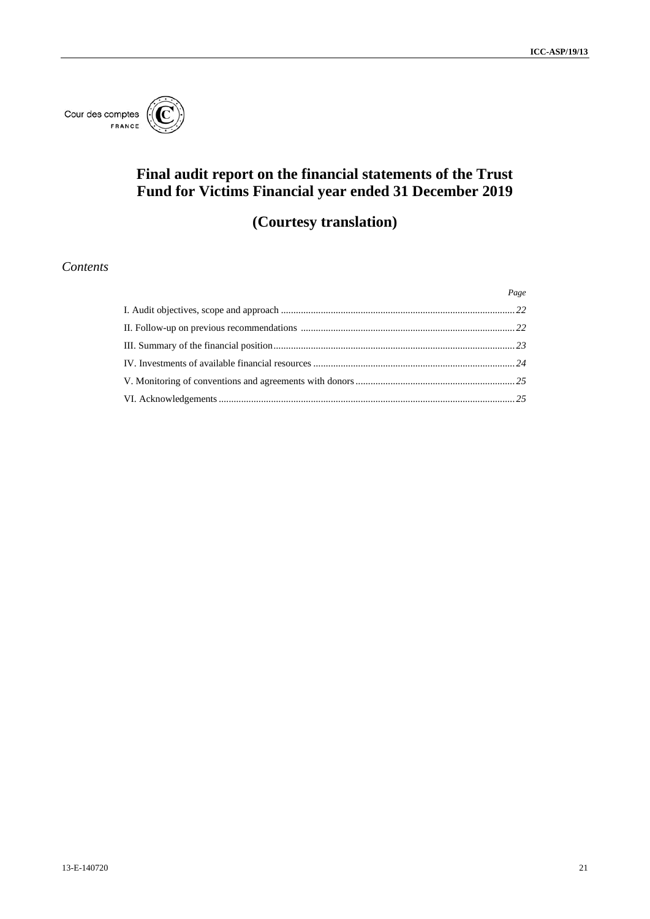

# **Final audit report on the financial statements of the Trust Fund for Victims Financial year ended 31 December 2019**

# **(Courtesy translation)**

## *Contents*

| Page |
|------|
|      |
|      |
|      |
|      |
|      |
|      |
|      |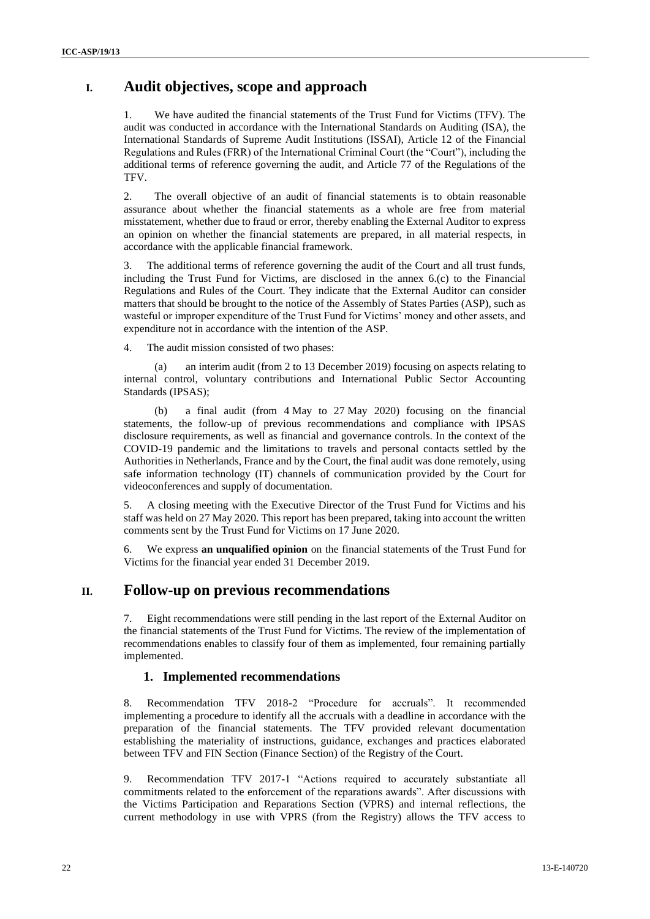## **I. Audit objectives, scope and approach**

<span id="page-21-0"></span>1. We have audited the financial statements of the Trust Fund for Victims (TFV). The audit was conducted in accordance with the International Standards on Auditing (ISA), the International Standards of Supreme Audit Institutions (ISSAI), Article 12 of the Financial Regulations and Rules (FRR) of the International Criminal Court (the "Court"), including the additional terms of reference governing the audit, and Article 77 of the Regulations of the TFV.

2. The overall objective of an audit of financial statements is to obtain reasonable assurance about whether the financial statements as a whole are free from material misstatement, whether due to fraud or error, thereby enabling the External Auditor to express an opinion on whether the financial statements are prepared, in all material respects, in accordance with the applicable financial framework.

3. The additional terms of reference governing the audit of the Court and all trust funds, including the Trust Fund for Victims, are disclosed in the annex 6.(c) to the Financial Regulations and Rules of the Court. They indicate that the External Auditor can consider matters that should be brought to the notice of the Assembly of States Parties (ASP), such as wasteful or improper expenditure of the Trust Fund for Victims' money and other assets, and expenditure not in accordance with the intention of the ASP.

4. The audit mission consisted of two phases:

an interim audit (from 2 to 13 December 2019) focusing on aspects relating to internal control, voluntary contributions and International Public Sector Accounting Standards (IPSAS);

(b) a final audit (from 4 May to 27 May 2020) focusing on the financial statements, the follow-up of previous recommendations and compliance with IPSAS disclosure requirements, as well as financial and governance controls. In the context of the COVID-19 pandemic and the limitations to travels and personal contacts settled by the Authorities in Netherlands, France and by the Court, the final audit was done remotely, using safe information technology (IT) channels of communication provided by the Court for videoconferences and supply of documentation.

5. A closing meeting with the Executive Director of the Trust Fund for Victims and his staff was held on 27 May 2020. This report has been prepared, taking into account the written comments sent by the Trust Fund for Victims on 17 June 2020.

6. We express **an unqualified opinion** on the financial statements of the Trust Fund for Victims for the financial year ended 31 December 2019.

## **II. Follow-up on previous recommendations**

7. Eight recommendations were still pending in the last report of the External Auditor on the financial statements of the Trust Fund for Victims. The review of the implementation of recommendations enables to classify four of them as implemented, four remaining partially implemented.

### **1. Implemented recommendations**

8. Recommendation TFV 2018-2 "Procedure for accruals". It recommended implementing a procedure to identify all the accruals with a deadline in accordance with the preparation of the financial statements. The TFV provided relevant documentation establishing the materiality of instructions, guidance, exchanges and practices elaborated between TFV and FIN Section (Finance Section) of the Registry of the Court.

9. Recommendation TFV 2017-1 "Actions required to accurately substantiate all commitments related to the enforcement of the reparations awards". After discussions with the Victims Participation and Reparations Section (VPRS) and internal reflections, the current methodology in use with VPRS (from the Registry) allows the TFV access to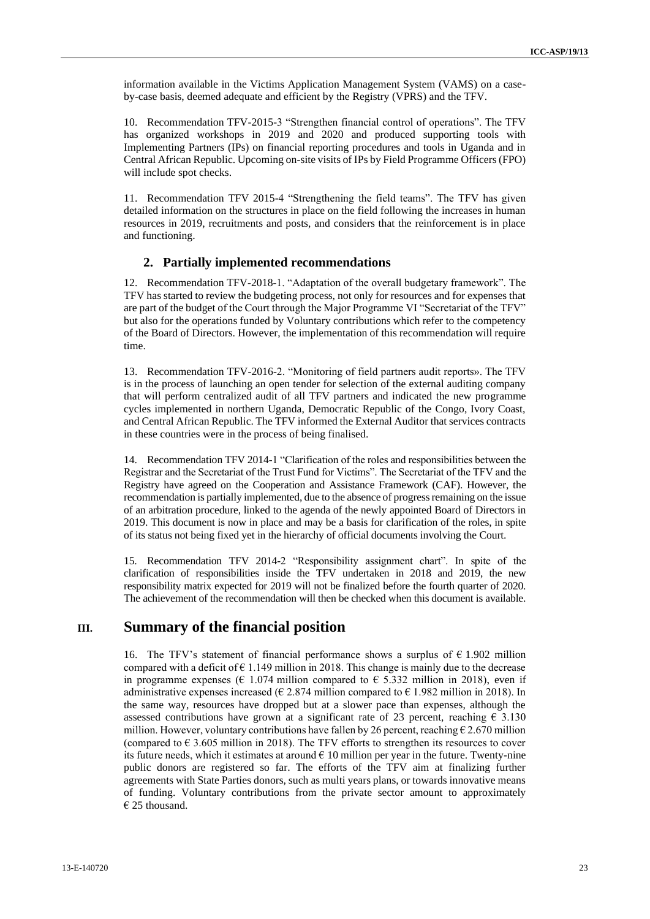information available in the Victims Application Management System (VAMS) on a caseby-case basis, deemed adequate and efficient by the Registry (VPRS) and the TFV.

10. Recommendation TFV-2015-3 "Strengthen financial control of operations". The TFV has organized workshops in 2019 and 2020 and produced supporting tools with Implementing Partners (IPs) on financial reporting procedures and tools in Uganda and in Central African Republic. Upcoming on-site visits of IPs by Field Programme Officers (FPO) will include spot checks.

11. Recommendation TFV 2015-4 "Strengthening the field teams". The TFV has given detailed information on the structures in place on the field following the increases in human resources in 2019, recruitments and posts, and considers that the reinforcement is in place and functioning.

#### **2. Partially implemented recommendations**

12. Recommendation TFV-2018-1. "Adaptation of the overall budgetary framework". The TFV has started to review the budgeting process, not only for resources and for expenses that are part of the budget of the Court through the Major Programme VI "Secretariat of the TFV" but also for the operations funded by Voluntary contributions which refer to the competency of the Board of Directors. However, the implementation of this recommendation will require time.

13. Recommendation TFV-2016-2. "Monitoring of field partners audit reports». The TFV is in the process of launching an open tender for selection of the external auditing company that will perform centralized audit of all TFV partners and indicated the new programme cycles implemented in northern Uganda, Democratic Republic of the Congo, Ivory Coast, and Central African Republic. The TFV informed the External Auditor that services contracts in these countries were in the process of being finalised.

14. Recommendation TFV 2014-1 "Clarification of the roles and responsibilities between the Registrar and the Secretariat of the Trust Fund for Victims". The Secretariat of the TFV and the Registry have agreed on the Cooperation and Assistance Framework (CAF). However, the recommendation is partially implemented, due to the absence of progress remaining on the issue of an arbitration procedure, linked to the agenda of the newly appointed Board of Directors in 2019. This document is now in place and may be a basis for clarification of the roles, in spite of its status not being fixed yet in the hierarchy of official documents involving the Court.

15. Recommendation TFV 2014-2 "Responsibility assignment chart". In spite of the clarification of responsibilities inside the TFV undertaken in 2018 and 2019, the new responsibility matrix expected for 2019 will not be finalized before the fourth quarter of 2020. The achievement of the recommendation will then be checked when this document is available.

## **III. Summary of the financial position**

<span id="page-22-0"></span>16. The TFV's statement of financial performance shows a surplus of  $\epsilon$  1.902 million compared with a deficit of  $\epsilon$  1.149 million in 2018. This change is mainly due to the decrease in programme expenses ( $\epsilon$  1.074 million compared to  $\epsilon$  5.332 million in 2018), even if administrative expenses increased ( $\epsilon$  2.874 million compared to  $\epsilon$  1.982 million in 2018). In the same way, resources have dropped but at a slower pace than expenses, although the assessed contributions have grown at a significant rate of 23 percent, reaching  $\epsilon$  3.130 million. However, voluntary contributions have fallen by 26 percent, reaching  $\epsilon$  2.670 million (compared to  $\epsilon$  3.605 million in 2018). The TFV efforts to strengthen its resources to cover its future needs, which it estimates at around  $\epsilon$  10 million per year in the future. Twenty-nine public donors are registered so far. The efforts of the TFV aim at finalizing further agreements with State Parties donors, such as multi years plans, or towards innovative means of funding. Voluntary contributions from the private sector amount to approximately  $€$  25 thousand.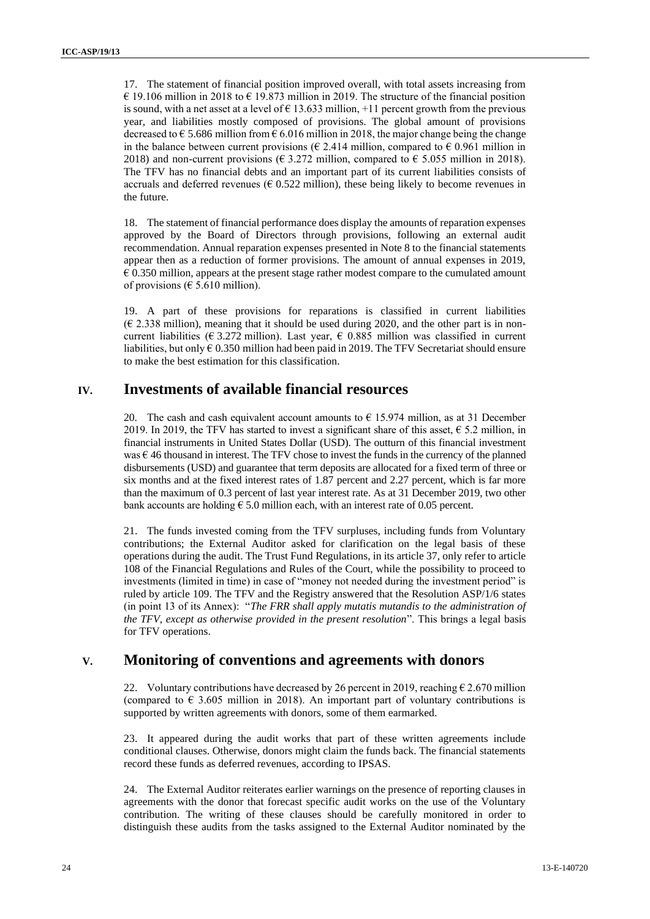17. The statement of financial position improved overall, with total assets increasing from € 19.106 million in 2018 to € 19.873 million in 2019. The structure of the financial position is sound, with a net asset at a level of  $\epsilon$  13.633 million, +11 percent growth from the previous year, and liabilities mostly composed of provisions. The global amount of provisions decreased to  $\epsilon$  5.686 million from  $\epsilon$  6.016 million in 2018, the major change being the change in the balance between current provisions ( $\epsilon$  2.414 million, compared to  $\epsilon$  0.961 million in 2018) and non-current provisions ( $\epsilon$  3.272 million, compared to  $\epsilon$  5.055 million in 2018). The TFV has no financial debts and an important part of its current liabilities consists of accruals and deferred revenues ( $\epsilon$  0.522 million), these being likely to become revenues in the future.

18. The statement of financial performance does display the amounts of reparation expenses approved by the Board of Directors through provisions, following an external audit recommendation. Annual reparation expenses presented in Note 8 to the financial statements appear then as a reduction of former provisions. The amount of annual expenses in 2019,  $\epsilon$  0.350 million, appears at the present stage rather modest compare to the cumulated amount of provisions ( $\epsilon$  5.610 million).

19. A part of these provisions for reparations is classified in current liabilities  $(E 2.338$  million), meaning that it should be used during 2020, and the other part is in noncurrent liabilities ( $\epsilon$  3.272 million). Last year,  $\epsilon$  0.885 million was classified in current liabilities, but only  $\epsilon$  0.350 million had been paid in 2019. The TFV Secretariat should ensure to make the best estimation for this classification.

## **IV. Investments of available financial resources**

20. The cash and cash equivalent account amounts to  $\epsilon$  15.974 million, as at 31 December 2019. In 2019, the TFV has started to invest a significant share of this asset,  $\epsilon$  5.2 million, in financial instruments in United States Dollar (USD). The outturn of this financial investment was  $\epsilon$  46 thousand in interest. The TFV chose to invest the funds in the currency of the planned disbursements (USD) and guarantee that term deposits are allocated for a fixed term of three or six months and at the fixed interest rates of 1.87 percent and 2.27 percent, which is far more than the maximum of 0.3 percent of last year interest rate. As at 31 December 2019, two other bank accounts are holding  $\epsilon$  5.0 million each, with an interest rate of 0.05 percent.

21. The funds invested coming from the TFV surpluses, including funds from Voluntary contributions; the External Auditor asked for clarification on the legal basis of these operations during the audit. The Trust Fund Regulations, in its article 37, only refer to article 108 of the Financial Regulations and Rules of the Court, while the possibility to proceed to investments (limited in time) in case of "money not needed during the investment period" is ruled by article 109. The TFV and the Registry answered that the Resolution ASP/1/6 states (in point 13 of its Annex): "*The FRR shall apply mutatis mutandis to the administration of the TFV, except as otherwise provided in the present resolution*". This brings a legal basis for TFV operations.

## **V. Monitoring of conventions and agreements with donors**

22. Voluntary contributions have decreased by 26 percent in 2019, reaching  $\epsilon$  2.670 million (compared to  $\epsilon$  3.605 million in 2018). An important part of voluntary contributions is supported by written agreements with donors, some of them earmarked.

23. It appeared during the audit works that part of these written agreements include conditional clauses. Otherwise, donors might claim the funds back. The financial statements record these funds as deferred revenues, according to IPSAS.

24. The External Auditor reiterates earlier warnings on the presence of reporting clauses in agreements with the donor that forecast specific audit works on the use of the Voluntary contribution. The writing of these clauses should be carefully monitored in order to distinguish these audits from the tasks assigned to the External Auditor nominated by the